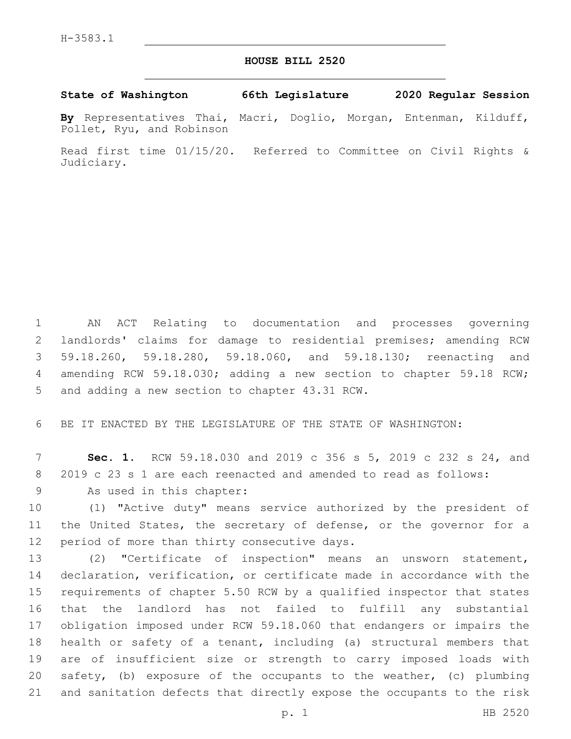## **HOUSE BILL 2520**

**State of Washington 66th Legislature 2020 Regular Session**

**By** Representatives Thai, Macri, Doglio, Morgan, Entenman, Kilduff, Pollet, Ryu, and Robinson

Read first time 01/15/20. Referred to Committee on Civil Rights & Judiciary.

 AN ACT Relating to documentation and processes governing landlords' claims for damage to residential premises; amending RCW 59.18.260, 59.18.280, 59.18.060, and 59.18.130; reenacting and amending RCW 59.18.030; adding a new section to chapter 59.18 RCW; 5 and adding a new section to chapter 43.31 RCW.

6 BE IT ENACTED BY THE LEGISLATURE OF THE STATE OF WASHINGTON:

7 **Sec. 1.** RCW 59.18.030 and 2019 c 356 s 5, 2019 c 232 s 24, and 8 2019 c 23 s 1 are each reenacted and amended to read as follows:

9 As used in this chapter:

10 (1) "Active duty" means service authorized by the president of 11 the United States, the secretary of defense, or the governor for a 12 period of more than thirty consecutive days.

 (2) "Certificate of inspection" means an unsworn statement, declaration, verification, or certificate made in accordance with the requirements of chapter 5.50 RCW by a qualified inspector that states that the landlord has not failed to fulfill any substantial obligation imposed under RCW 59.18.060 that endangers or impairs the health or safety of a tenant, including (a) structural members that are of insufficient size or strength to carry imposed loads with safety, (b) exposure of the occupants to the weather, (c) plumbing and sanitation defects that directly expose the occupants to the risk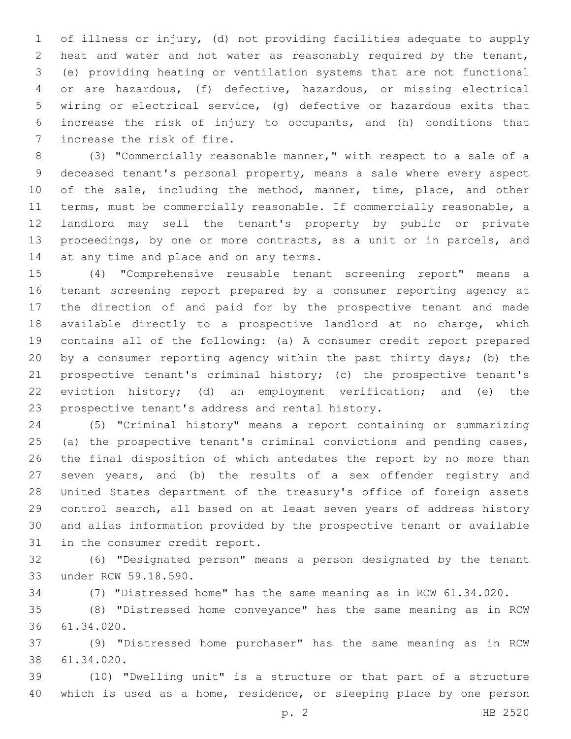of illness or injury, (d) not providing facilities adequate to supply heat and water and hot water as reasonably required by the tenant, (e) providing heating or ventilation systems that are not functional or are hazardous, (f) defective, hazardous, or missing electrical wiring or electrical service, (g) defective or hazardous exits that increase the risk of injury to occupants, and (h) conditions that 7 increase the risk of fire.

 (3) "Commercially reasonable manner," with respect to a sale of a deceased tenant's personal property, means a sale where every aspect 10 of the sale, including the method, manner, time, place, and other terms, must be commercially reasonable. If commercially reasonable, a landlord may sell the tenant's property by public or private proceedings, by one or more contracts, as a unit or in parcels, and 14 at any time and place and on any terms.

 (4) "Comprehensive reusable tenant screening report" means a tenant screening report prepared by a consumer reporting agency at the direction of and paid for by the prospective tenant and made available directly to a prospective landlord at no charge, which contains all of the following: (a) A consumer credit report prepared by a consumer reporting agency within the past thirty days; (b) the prospective tenant's criminal history; (c) the prospective tenant's eviction history; (d) an employment verification; and (e) the 23 prospective tenant's address and rental history.

 (5) "Criminal history" means a report containing or summarizing (a) the prospective tenant's criminal convictions and pending cases, the final disposition of which antedates the report by no more than seven years, and (b) the results of a sex offender registry and United States department of the treasury's office of foreign assets control search, all based on at least seven years of address history and alias information provided by the prospective tenant or available 31 in the consumer credit report.

 (6) "Designated person" means a person designated by the tenant 33 under RCW 59.18.590.

(7) "Distressed home" has the same meaning as in RCW 61.34.020.

 (8) "Distressed home conveyance" has the same meaning as in RCW 61.34.020.36

 (9) "Distressed home purchaser" has the same meaning as in RCW 61.34.020.38

 (10) "Dwelling unit" is a structure or that part of a structure which is used as a home, residence, or sleeping place by one person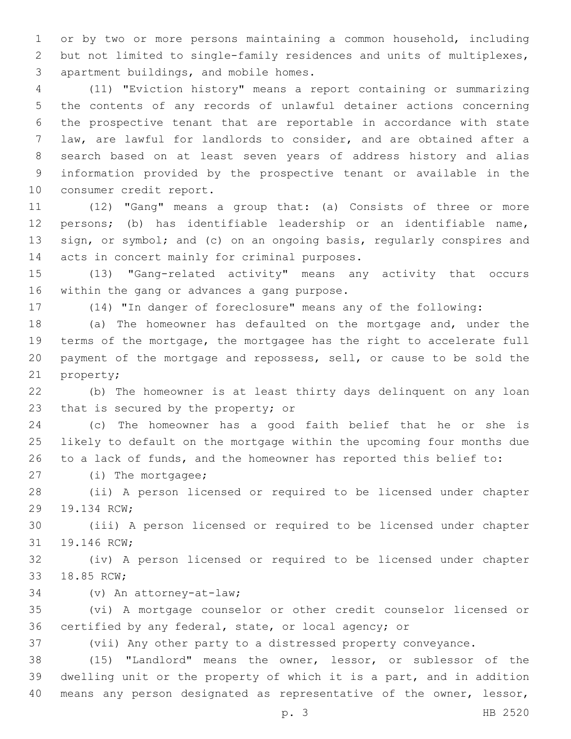or by two or more persons maintaining a common household, including but not limited to single-family residences and units of multiplexes, 3 apartment buildings, and mobile homes.

 (11) "Eviction history" means a report containing or summarizing the contents of any records of unlawful detainer actions concerning the prospective tenant that are reportable in accordance with state law, are lawful for landlords to consider, and are obtained after a search based on at least seven years of address history and alias information provided by the prospective tenant or available in the 10 consumer credit report.

 (12) "Gang" means a group that: (a) Consists of three or more persons; (b) has identifiable leadership or an identifiable name, 13 sign, or symbol; and (c) on an ongoing basis, regularly conspires and 14 acts in concert mainly for criminal purposes.

 (13) "Gang-related activity" means any activity that occurs 16 within the gang or advances a gang purpose.

(14) "In danger of foreclosure" means any of the following:

 (a) The homeowner has defaulted on the mortgage and, under the terms of the mortgage, the mortgagee has the right to accelerate full payment of the mortgage and repossess, sell, or cause to be sold the 21 property;

 (b) The homeowner is at least thirty days delinquent on any loan 23 that is secured by the property; or

 (c) The homeowner has a good faith belief that he or she is likely to default on the mortgage within the upcoming four months due to a lack of funds, and the homeowner has reported this belief to:

27 (i) The mortgagee;

 (ii) A person licensed or required to be licensed under chapter 29 19.134 RCW;

 (iii) A person licensed or required to be licensed under chapter 31 19.146 RCW;

 (iv) A person licensed or required to be licensed under chapter 33 18.85 RCW;

(v) An attorney-at-law;34

 (vi) A mortgage counselor or other credit counselor licensed or certified by any federal, state, or local agency; or

(vii) Any other party to a distressed property conveyance.

 (15) "Landlord" means the owner, lessor, or sublessor of the dwelling unit or the property of which it is a part, and in addition means any person designated as representative of the owner, lessor,

p. 3 HB 2520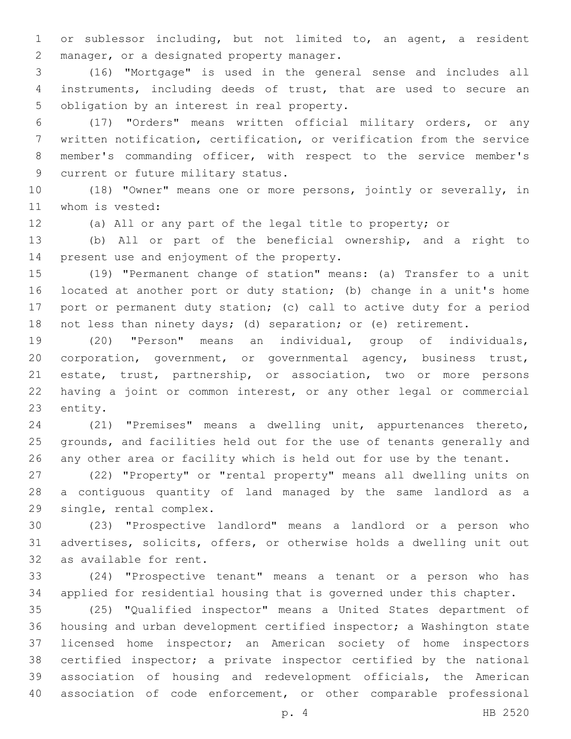or sublessor including, but not limited to, an agent, a resident 2 manager, or a designated property manager.

 (16) "Mortgage" is used in the general sense and includes all instruments, including deeds of trust, that are used to secure an 5 obligation by an interest in real property.

 (17) "Orders" means written official military orders, or any written notification, certification, or verification from the service member's commanding officer, with respect to the service member's 9 current or future military status.

 (18) "Owner" means one or more persons, jointly or severally, in 11 whom is vested:

(a) All or any part of the legal title to property; or

 (b) All or part of the beneficial ownership, and a right to 14 present use and enjoyment of the property.

 (19) "Permanent change of station" means: (a) Transfer to a unit located at another port or duty station; (b) change in a unit's home port or permanent duty station; (c) call to active duty for a period not less than ninety days; (d) separation; or (e) retirement.

 (20) "Person" means an individual, group of individuals, corporation, government, or governmental agency, business trust, estate, trust, partnership, or association, two or more persons having a joint or common interest, or any other legal or commercial 23 entity.

 (21) "Premises" means a dwelling unit, appurtenances thereto, grounds, and facilities held out for the use of tenants generally and any other area or facility which is held out for use by the tenant.

 (22) "Property" or "rental property" means all dwelling units on a contiguous quantity of land managed by the same landlord as a 29 single, rental complex.

 (23) "Prospective landlord" means a landlord or a person who advertises, solicits, offers, or otherwise holds a dwelling unit out 32 as available for rent.

 (24) "Prospective tenant" means a tenant or a person who has applied for residential housing that is governed under this chapter.

 (25) "Qualified inspector" means a United States department of housing and urban development certified inspector; a Washington state licensed home inspector; an American society of home inspectors certified inspector; a private inspector certified by the national association of housing and redevelopment officials, the American association of code enforcement, or other comparable professional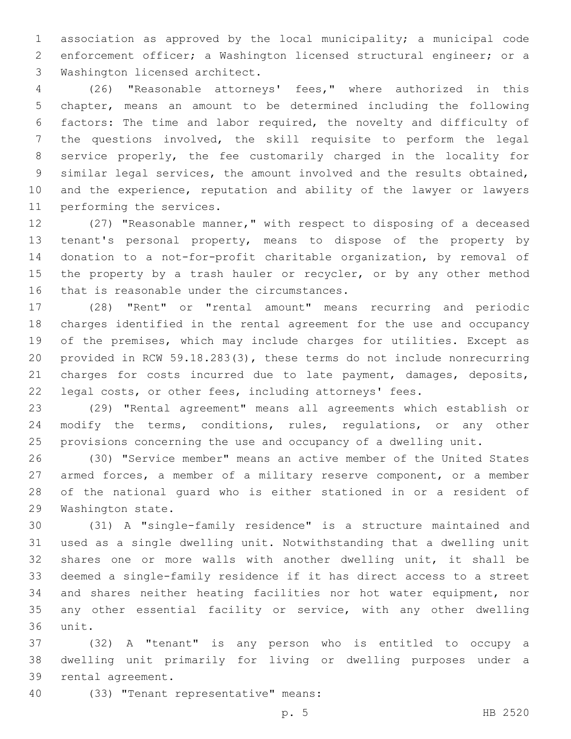association as approved by the local municipality; a municipal code enforcement officer; a Washington licensed structural engineer; or a 3 Washington licensed architect.

 (26) "Reasonable attorneys' fees," where authorized in this chapter, means an amount to be determined including the following factors: The time and labor required, the novelty and difficulty of the questions involved, the skill requisite to perform the legal service properly, the fee customarily charged in the locality for similar legal services, the amount involved and the results obtained, and the experience, reputation and ability of the lawyer or lawyers 11 performing the services.

 (27) "Reasonable manner," with respect to disposing of a deceased tenant's personal property, means to dispose of the property by donation to a not-for-profit charitable organization, by removal of 15 the property by a trash hauler or recycler, or by any other method 16 that is reasonable under the circumstances.

 (28) "Rent" or "rental amount" means recurring and periodic charges identified in the rental agreement for the use and occupancy of the premises, which may include charges for utilities. Except as provided in RCW 59.18.283(3), these terms do not include nonrecurring 21 charges for costs incurred due to late payment, damages, deposits, legal costs, or other fees, including attorneys' fees.

 (29) "Rental agreement" means all agreements which establish or modify the terms, conditions, rules, regulations, or any other provisions concerning the use and occupancy of a dwelling unit.

 (30) "Service member" means an active member of the United States armed forces, a member of a military reserve component, or a member of the national guard who is either stationed in or a resident of 29 Washington state.

 (31) A "single-family residence" is a structure maintained and used as a single dwelling unit. Notwithstanding that a dwelling unit shares one or more walls with another dwelling unit, it shall be deemed a single-family residence if it has direct access to a street and shares neither heating facilities nor hot water equipment, nor any other essential facility or service, with any other dwelling 36 unit.

 (32) A "tenant" is any person who is entitled to occupy a dwelling unit primarily for living or dwelling purposes under a 39 rental agreement.

(33) "Tenant representative" means:40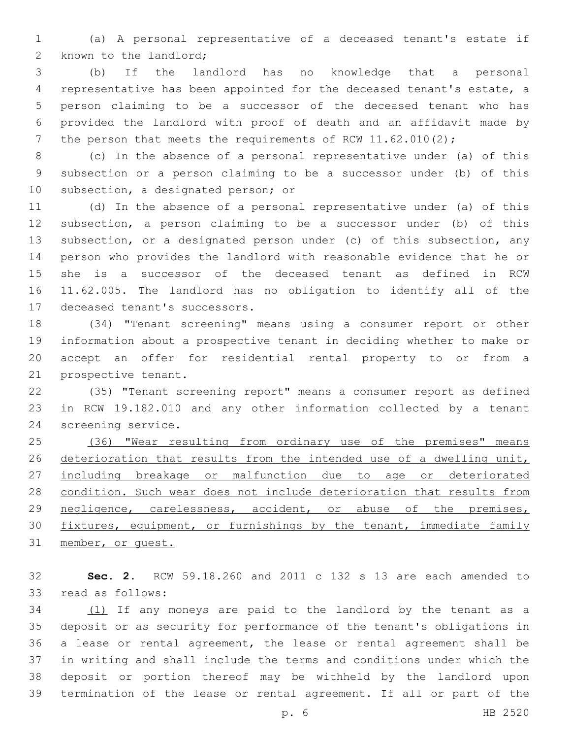(a) A personal representative of a deceased tenant's estate if 2 known to the landlord;

 (b) If the landlord has no knowledge that a personal representative has been appointed for the deceased tenant's estate, a person claiming to be a successor of the deceased tenant who has provided the landlord with proof of death and an affidavit made by 7 the person that meets the requirements of RCW 11.62.010(2);

 (c) In the absence of a personal representative under (a) of this subsection or a person claiming to be a successor under (b) of this 10 subsection, a designated person; or

 (d) In the absence of a personal representative under (a) of this subsection, a person claiming to be a successor under (b) of this subsection, or a designated person under (c) of this subsection, any person who provides the landlord with reasonable evidence that he or she is a successor of the deceased tenant as defined in RCW 11.62.005. The landlord has no obligation to identify all of the 17 deceased tenant's successors.

 (34) "Tenant screening" means using a consumer report or other information about a prospective tenant in deciding whether to make or accept an offer for residential rental property to or from a 21 prospective tenant.

 (35) "Tenant screening report" means a consumer report as defined in RCW 19.182.010 and any other information collected by a tenant 24 screening service.

25 (36) "Wear resulting from ordinary use of the premises" means 26 deterioration that results from the intended use of a dwelling unit, including breakage or malfunction due to age or deteriorated condition. Such wear does not include deterioration that results from negligence, carelessness, accident, or abuse of the premises, 30 fixtures, equipment, or furnishings by the tenant, immediate family member, or guest.

 **Sec. 2.** RCW 59.18.260 and 2011 c 132 s 13 are each amended to 33 read as follows:

 (1) If any moneys are paid to the landlord by the tenant as a deposit or as security for performance of the tenant's obligations in a lease or rental agreement, the lease or rental agreement shall be in writing and shall include the terms and conditions under which the deposit or portion thereof may be withheld by the landlord upon termination of the lease or rental agreement. If all or part of the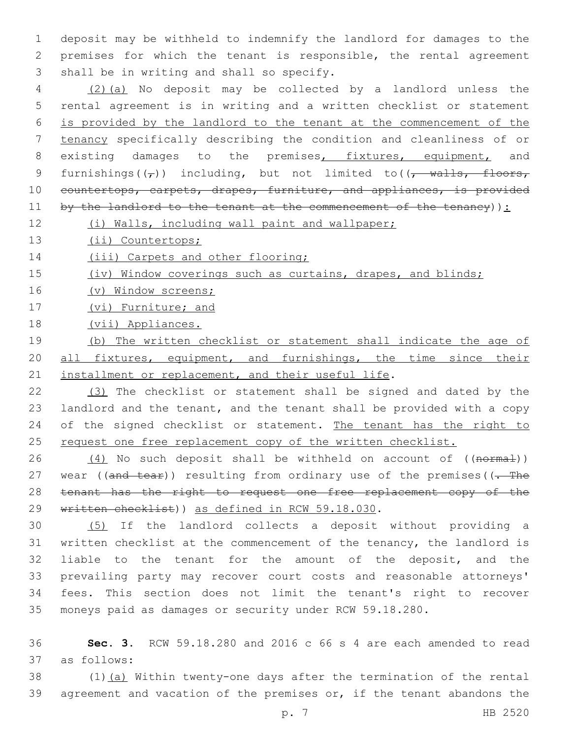1 deposit may be withheld to indemnify the landlord for damages to the 2 premises for which the tenant is responsible, the rental agreement 3 shall be in writing and shall so specify.

 (2)(a) No deposit may be collected by a landlord unless the rental agreement is in writing and a written checklist or statement is provided by the landlord to the tenant at the commencement of the tenancy specifically describing the condition and cleanliness of or 8 existing damages to the premises, fixtures, equipment, and 9 furnishings( $(\tau)$ ) including, but not limited to( $(\tau$  walls, floors, 10 countertops, carpets, drapes, furniture, and appliances, is provided by the landlord to the tenant at the commencement of the tenancy)):

12 (i) Walls, including wall paint and wallpaper;

13 (ii) Countertops;

14 (iii) Carpets and other flooring;

15 (iv) Window coverings such as curtains, drapes, and blinds;

16 (v) Window screens;

17 (vi) Furniture; and

18 (vii) Appliances.

19 (b) The written checklist or statement shall indicate the age of 20 all fixtures, equipment, and furnishings, the time since their 21 installment or replacement, and their useful life.

22 (3) The checklist or statement shall be signed and dated by the 23 landlord and the tenant, and the tenant shall be provided with a copy 24 of the signed checklist or statement. The tenant has the right to 25 request one free replacement copy of the written checklist.

26  $(4)$  No such deposit shall be withheld on account of  $((\text{normal}))$ 27 wear ( $( and  $-$  test)$ ) resulting from ordinary use of the premises ( $( -$  The 28 tenant has the right to request one free replacement copy of the 29 written checklist)) as defined in RCW 59.18.030.

 (5) If the landlord collects a deposit without providing a written checklist at the commencement of the tenancy, the landlord is liable to the tenant for the amount of the deposit, and the prevailing party may recover court costs and reasonable attorneys' fees. This section does not limit the tenant's right to recover moneys paid as damages or security under RCW 59.18.280.

36 **Sec. 3.** RCW 59.18.280 and 2016 c 66 s 4 are each amended to read as follows:37

38  $(1)$   $(a)$  Within twenty-one days after the termination of the rental 39 agreement and vacation of the premises or, if the tenant abandons the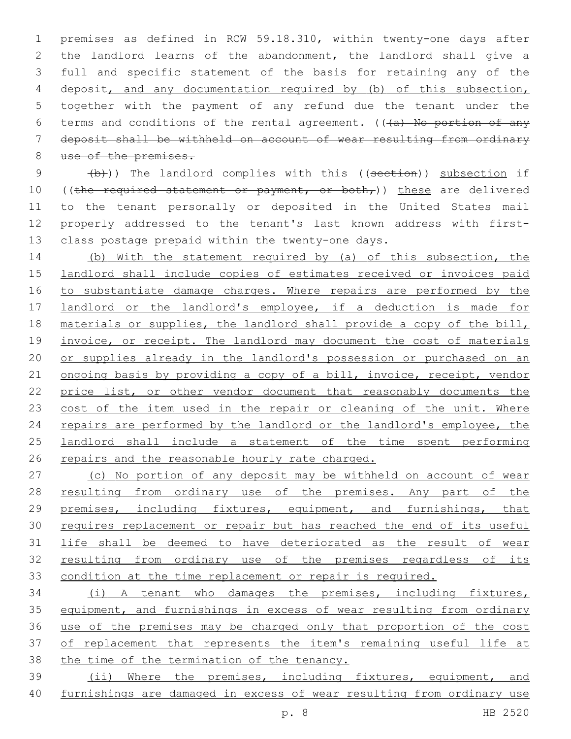premises as defined in RCW 59.18.310, within twenty-one days after the landlord learns of the abandonment, the landlord shall give a full and specific statement of the basis for retaining any of the deposit, and any documentation required by (b) of this subsection, together with the payment of any refund due the tenant under the 6 terms and conditions of the rental agreement.  $((a)$  No portion of any deposit shall be withheld on account of wear resulting from ordinary 8 use of the premises.

9 (b)) The landlord complies with this ((section)) subsection if 10 ((the required statement or payment, or both,)) these are delivered to the tenant personally or deposited in the United States mail properly addressed to the tenant's last known address with first-13 class postage prepaid within the twenty-one days.

 (b) With the statement required by (a) of this subsection, the landlord shall include copies of estimates received or invoices paid 16 to substantiate damage charges. Where repairs are performed by the landlord or the landlord's employee, if a deduction is made for materials or supplies, the landlord shall provide a copy of the bill, 19 invoice, or receipt. The landlord may document the cost of materials or supplies already in the landlord's possession or purchased on an 21 ongoing basis by providing a copy of a bill, invoice, receipt, vendor price list, or other vendor document that reasonably documents the 23 cost of the item used in the repair or cleaning of the unit. Where 24 repairs are performed by the landlord or the landlord's employee, the landlord shall include a statement of the time spent performing 26 repairs and the reasonable hourly rate charged.

 (c) No portion of any deposit may be withheld on account of wear 28 resulting from ordinary use of the premises. Any part of the premises, including fixtures, equipment, and furnishings, that requires replacement or repair but has reached the end of its useful life shall be deemed to have deteriorated as the result of wear resulting from ordinary use of the premises regardless of its condition at the time replacement or repair is required.

 (i) A tenant who damages the premises, including fixtures, 35 equipment, and furnishings in excess of wear resulting from ordinary use of the premises may be charged only that proportion of the cost 37 of replacement that represents the item's remaining useful life at the time of the termination of the tenancy.

 (ii) Where the premises, including fixtures, equipment, and furnishings are damaged in excess of wear resulting from ordinary use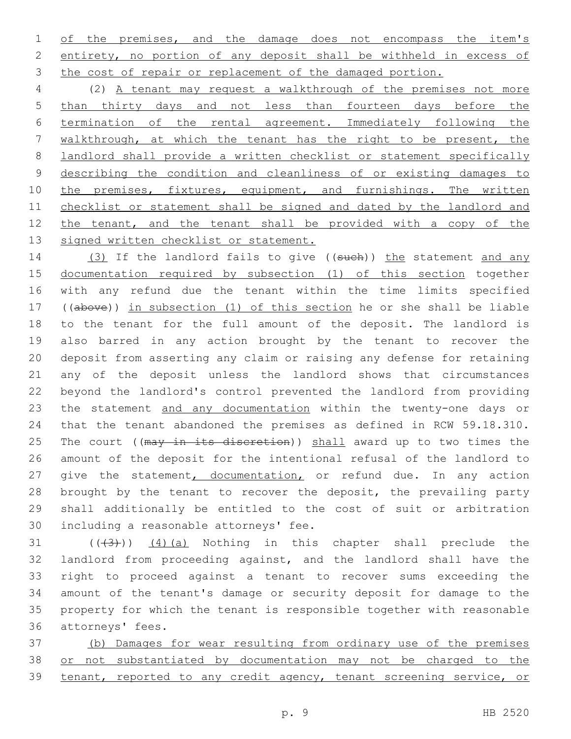1 of the premises, and the damage does not encompass the item's entirety, no portion of any deposit shall be withheld in excess of 3 the cost of repair or replacement of the damaged portion.

 (2) A tenant may request a walkthrough of the premises not more than thirty days and not less than fourteen days before the termination of the rental agreement. Immediately following the walkthrough, at which the tenant has the right to be present, the landlord shall provide a written checklist or statement specifically describing the condition and cleanliness of or existing damages to 10 the premises, fixtures, equipment, and furnishings. The written checklist or statement shall be signed and dated by the landlord and 12 the tenant, and the tenant shall be provided with a copy of the 13 signed written checklist or statement.

14 (3) If the landlord fails to give ((such)) the statement and any 15 documentation required by subsection (1) of this section together with any refund due the tenant within the time limits specified ((above)) in subsection (1) of this section he or she shall be liable to the tenant for the full amount of the deposit. The landlord is also barred in any action brought by the tenant to recover the deposit from asserting any claim or raising any defense for retaining any of the deposit unless the landlord shows that circumstances beyond the landlord's control prevented the landlord from providing 23 the statement and any documentation within the twenty-one days or that the tenant abandoned the premises as defined in RCW 59.18.310. 25 The court ((may in its discretion)) shall award up to two times the amount of the deposit for the intentional refusal of the landlord to 27 give the statement, documentation, or refund due. In any action 28 brought by the tenant to recover the deposit, the prevailing party shall additionally be entitled to the cost of suit or arbitration 30 including a reasonable attorneys' fee.

 $(1)(3)$   $(4)(a)$  Nothing in this chapter shall preclude the landlord from proceeding against, and the landlord shall have the right to proceed against a tenant to recover sums exceeding the amount of the tenant's damage or security deposit for damage to the property for which the tenant is responsible together with reasonable 36 attorneys' fees.

 (b) Damages for wear resulting from ordinary use of the premises or not substantiated by documentation may not be charged to the tenant, reported to any credit agency, tenant screening service, or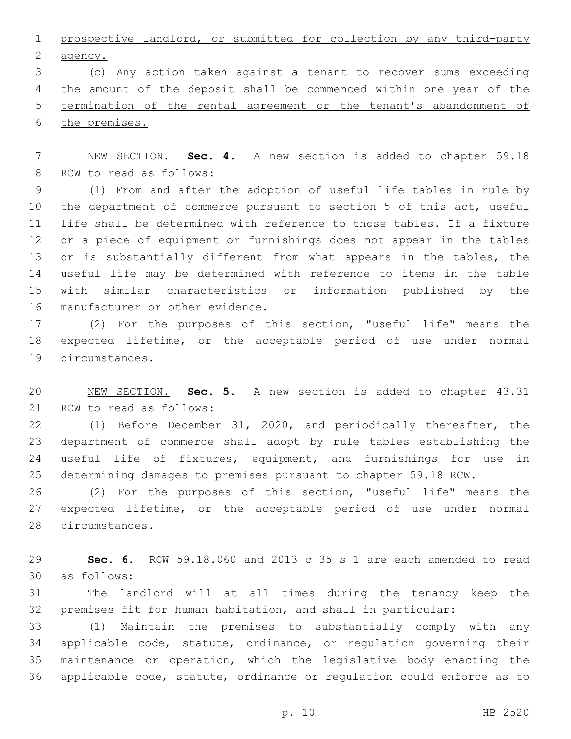prospective landlord, or submitted for collection by any third-party 2 agency.

 (c) Any action taken against a tenant to recover sums exceeding 4 the amount of the deposit shall be commenced within one year of the termination of the rental agreement or the tenant's abandonment of the premises.

 NEW SECTION. **Sec. 4.** A new section is added to chapter 59.18 8 RCW to read as follows:

 (1) From and after the adoption of useful life tables in rule by the department of commerce pursuant to section 5 of this act, useful life shall be determined with reference to those tables. If a fixture or a piece of equipment or furnishings does not appear in the tables 13 or is substantially different from what appears in the tables, the useful life may be determined with reference to items in the table with similar characteristics or information published by the 16 manufacturer or other evidence.

 (2) For the purposes of this section, "useful life" means the expected lifetime, or the acceptable period of use under normal 19 circumstances.

 NEW SECTION. **Sec. 5.** A new section is added to chapter 43.31 21 RCW to read as follows:

 (1) Before December 31, 2020, and periodically thereafter, the department of commerce shall adopt by rule tables establishing the useful life of fixtures, equipment, and furnishings for use in determining damages to premises pursuant to chapter 59.18 RCW.

 (2) For the purposes of this section, "useful life" means the expected lifetime, or the acceptable period of use under normal 28 circumstances.

 **Sec. 6.** RCW 59.18.060 and 2013 c 35 s 1 are each amended to read as follows:30

 The landlord will at all times during the tenancy keep the premises fit for human habitation, and shall in particular:

 (1) Maintain the premises to substantially comply with any applicable code, statute, ordinance, or regulation governing their maintenance or operation, which the legislative body enacting the applicable code, statute, ordinance or regulation could enforce as to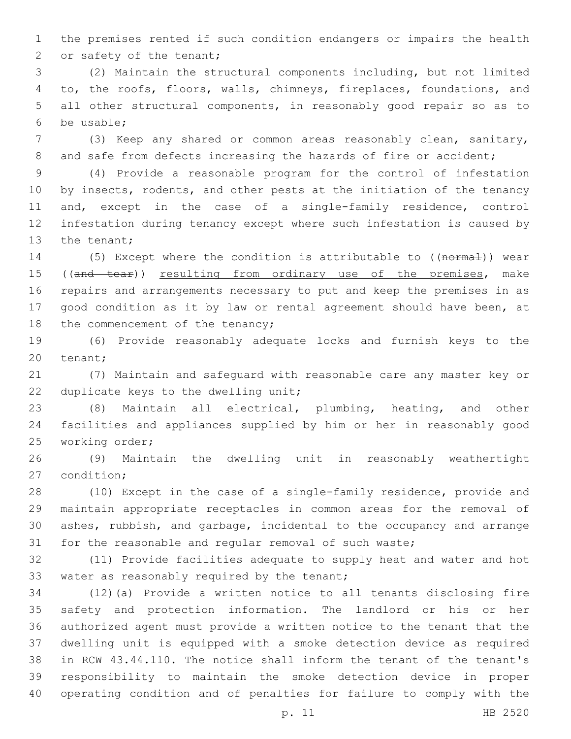the premises rented if such condition endangers or impairs the health 2 or safety of the tenant;

 (2) Maintain the structural components including, but not limited to, the roofs, floors, walls, chimneys, fireplaces, foundations, and all other structural components, in reasonably good repair so as to be usable;6

 (3) Keep any shared or common areas reasonably clean, sanitary, 8 and safe from defects increasing the hazards of fire or accident;

 (4) Provide a reasonable program for the control of infestation 10 by insects, rodents, and other pests at the initiation of the tenancy and, except in the case of a single-family residence, control infestation during tenancy except where such infestation is caused by 13 the tenant;

14 (5) Except where the condition is attributable to ((normal)) wear 15 ((and tear)) resulting from ordinary use of the premises, make repairs and arrangements necessary to put and keep the premises in as good condition as it by law or rental agreement should have been, at 18 the commencement of the tenancy;

 (6) Provide reasonably adequate locks and furnish keys to the 20 tenant;

 (7) Maintain and safeguard with reasonable care any master key or 22 duplicate keys to the dwelling unit;

 (8) Maintain all electrical, plumbing, heating, and other facilities and appliances supplied by him or her in reasonably good 25 working order;

 (9) Maintain the dwelling unit in reasonably weathertight 27 condition;

 (10) Except in the case of a single-family residence, provide and maintain appropriate receptacles in common areas for the removal of ashes, rubbish, and garbage, incidental to the occupancy and arrange for the reasonable and regular removal of such waste;

 (11) Provide facilities adequate to supply heat and water and hot 33 water as reasonably required by the tenant;

 (12)(a) Provide a written notice to all tenants disclosing fire safety and protection information. The landlord or his or her authorized agent must provide a written notice to the tenant that the dwelling unit is equipped with a smoke detection device as required in RCW 43.44.110. The notice shall inform the tenant of the tenant's responsibility to maintain the smoke detection device in proper operating condition and of penalties for failure to comply with the

p. 11 HB 2520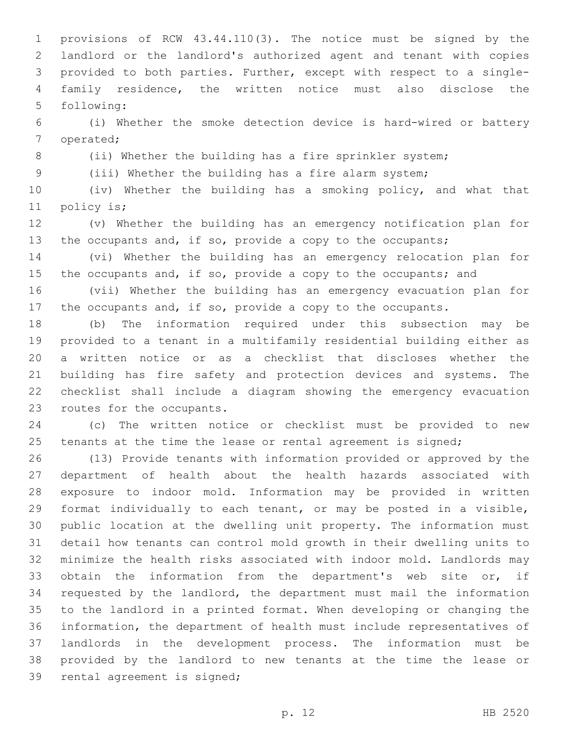provisions of RCW 43.44.110(3). The notice must be signed by the landlord or the landlord's authorized agent and tenant with copies provided to both parties. Further, except with respect to a single- family residence, the written notice must also disclose the 5 following:

 (i) Whether the smoke detection device is hard-wired or battery 7 operated;

8 (ii) Whether the building has a fire sprinkler system;

(iii) Whether the building has a fire alarm system;

 (iv) Whether the building has a smoking policy, and what that 11 policy is;

 (v) Whether the building has an emergency notification plan for 13 the occupants and, if so, provide a copy to the occupants;

 (vi) Whether the building has an emergency relocation plan for 15 the occupants and, if so, provide a copy to the occupants; and

 (vii) Whether the building has an emergency evacuation plan for 17 the occupants and, if so, provide a copy to the occupants.

 (b) The information required under this subsection may be provided to a tenant in a multifamily residential building either as a written notice or as a checklist that discloses whether the building has fire safety and protection devices and systems. The checklist shall include a diagram showing the emergency evacuation 23 routes for the occupants.

 (c) The written notice or checklist must be provided to new 25 tenants at the time the lease or rental agreement is signed;

 (13) Provide tenants with information provided or approved by the department of health about the health hazards associated with exposure to indoor mold. Information may be provided in written format individually to each tenant, or may be posted in a visible, public location at the dwelling unit property. The information must detail how tenants can control mold growth in their dwelling units to minimize the health risks associated with indoor mold. Landlords may obtain the information from the department's web site or, if requested by the landlord, the department must mail the information to the landlord in a printed format. When developing or changing the information, the department of health must include representatives of landlords in the development process. The information must be provided by the landlord to new tenants at the time the lease or 39 rental agreement is signed;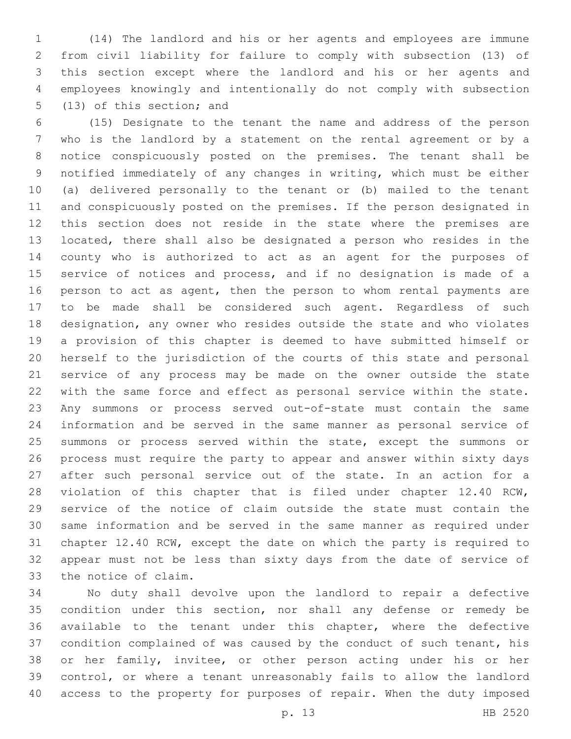(14) The landlord and his or her agents and employees are immune from civil liability for failure to comply with subsection (13) of this section except where the landlord and his or her agents and employees knowingly and intentionally do not comply with subsection 5 (13) of this section; and

 (15) Designate to the tenant the name and address of the person who is the landlord by a statement on the rental agreement or by a notice conspicuously posted on the premises. The tenant shall be notified immediately of any changes in writing, which must be either (a) delivered personally to the tenant or (b) mailed to the tenant and conspicuously posted on the premises. If the person designated in this section does not reside in the state where the premises are located, there shall also be designated a person who resides in the county who is authorized to act as an agent for the purposes of service of notices and process, and if no designation is made of a person to act as agent, then the person to whom rental payments are to be made shall be considered such agent. Regardless of such designation, any owner who resides outside the state and who violates a provision of this chapter is deemed to have submitted himself or herself to the jurisdiction of the courts of this state and personal service of any process may be made on the owner outside the state with the same force and effect as personal service within the state. Any summons or process served out-of-state must contain the same information and be served in the same manner as personal service of summons or process served within the state, except the summons or process must require the party to appear and answer within sixty days after such personal service out of the state. In an action for a violation of this chapter that is filed under chapter 12.40 RCW, service of the notice of claim outside the state must contain the same information and be served in the same manner as required under chapter 12.40 RCW, except the date on which the party is required to appear must not be less than sixty days from the date of service of 33 the notice of claim.

 No duty shall devolve upon the landlord to repair a defective condition under this section, nor shall any defense or remedy be available to the tenant under this chapter, where the defective condition complained of was caused by the conduct of such tenant, his or her family, invitee, or other person acting under his or her control, or where a tenant unreasonably fails to allow the landlord access to the property for purposes of repair. When the duty imposed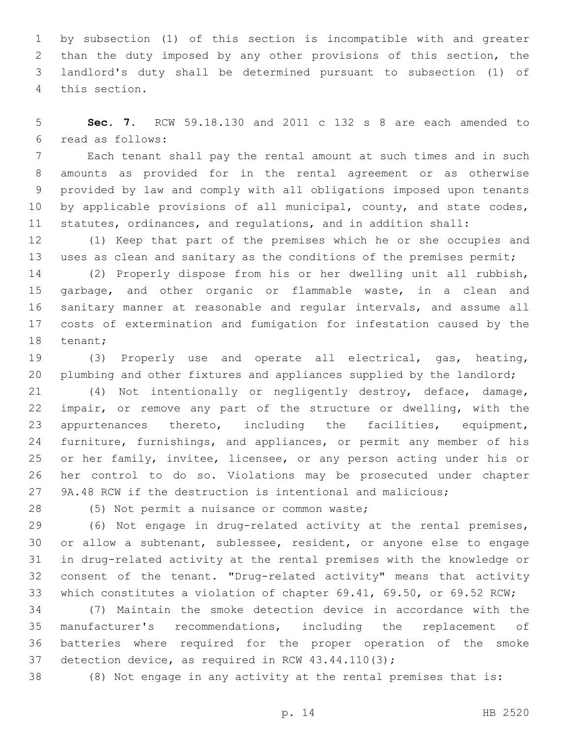by subsection (1) of this section is incompatible with and greater than the duty imposed by any other provisions of this section, the landlord's duty shall be determined pursuant to subsection (1) of 4 this section.

 **Sec. 7.** RCW 59.18.130 and 2011 c 132 s 8 are each amended to read as follows:6

 Each tenant shall pay the rental amount at such times and in such amounts as provided for in the rental agreement or as otherwise provided by law and comply with all obligations imposed upon tenants 10 by applicable provisions of all municipal, county, and state codes, statutes, ordinances, and regulations, and in addition shall:

 (1) Keep that part of the premises which he or she occupies and 13 uses as clean and sanitary as the conditions of the premises permit;

 (2) Properly dispose from his or her dwelling unit all rubbish, garbage, and other organic or flammable waste, in a clean and sanitary manner at reasonable and regular intervals, and assume all costs of extermination and fumigation for infestation caused by the 18 tenant;

 (3) Properly use and operate all electrical, gas, heating, 20 plumbing and other fixtures and appliances supplied by the landlord;

 (4) Not intentionally or negligently destroy, deface, damage, impair, or remove any part of the structure or dwelling, with the appurtenances thereto, including the facilities, equipment, furniture, furnishings, and appliances, or permit any member of his or her family, invitee, licensee, or any person acting under his or her control to do so. Violations may be prosecuted under chapter 9A.48 RCW if the destruction is intentional and malicious;

28 (5) Not permit a nuisance or common waste;

 (6) Not engage in drug-related activity at the rental premises, or allow a subtenant, sublessee, resident, or anyone else to engage in drug-related activity at the rental premises with the knowledge or consent of the tenant. "Drug-related activity" means that activity which constitutes a violation of chapter 69.41, 69.50, or 69.52 RCW;

 (7) Maintain the smoke detection device in accordance with the manufacturer's recommendations, including the replacement of batteries where required for the proper operation of the smoke detection device, as required in RCW 43.44.110(3);

(8) Not engage in any activity at the rental premises that is: